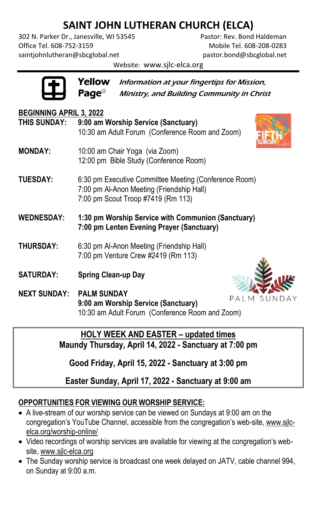# **SAINT JOHN LUTHERAN CHURCH (ELCA)**

302 N. Parker Dr., Janesville, WI 53545 Pastor: Rev. Bond Haldeman Office Tel. 608-752-3159 Mobile Tel. 608-208-0283 [saintjohnlutheran@sbcglobal.net](mailto:saintjohnlutheran@sbcglobal.net) [pastor.bond@sbcglobal.net](mailto:pastor.bond@sbcglobal.net)

Website: www.sjlc-elca.org

Yellow Information at your fingertips for Mission,  $\mathsf{Page}^\circ$  Ministry, and Building Community in Christ

| <b>BEGINNING APRIL 3, 2022</b>  |                                                                                                 |                                         |  |
|---------------------------------|-------------------------------------------------------------------------------------------------|-----------------------------------------|--|
| THIS SUNDAY:                    | 9:00 am Worship Service (Sanctuary)                                                             |                                         |  |
|                                 | 10:30 am Adult Forum (Conference Room and Zoom)                                                 |                                         |  |
| <b>MONDAY:</b>                  | 10:00 am Chair Yoga (via Zoom)                                                                  |                                         |  |
|                                 | 12:00 pm Bible Study (Conference Room)                                                          |                                         |  |
| <b>TUESDAY:</b>                 | 6:30 pm Executive Committee Meeting (Conference Room)                                           |                                         |  |
|                                 | 7:00 pm Al-Anon Meeting (Friendship Hall)<br>7:00 pm Scout Troop #7419 (Rm 113)                 |                                         |  |
|                                 |                                                                                                 |                                         |  |
| <b>WEDNESDAY:</b>               | 1:30 pm Worship Service with Communion (Sanctuary)<br>7:00 pm Lenten Evening Prayer (Sanctuary) |                                         |  |
|                                 |                                                                                                 |                                         |  |
| <b>THURSDAY:</b>                | 6:30 pm Al-Anon Meeting (Friendship Hall)<br>7:00 pm Venture Crew #2419 (Rm 113)                |                                         |  |
|                                 |                                                                                                 |                                         |  |
| <b>SATURDAY:</b>                | <b>Spring Clean-up Day</b>                                                                      |                                         |  |
| <b>NEXT SUNDAY: PALM SUNDAY</b> |                                                                                                 | $D$ $A$ $I$ $A$ $C$ $I$ $I$ $N$ $I$ $D$ |  |

PALM SUNDAY **9:00 am Worship Service (Sanctuary)** 10:30 am Adult Forum (Conference Room and Zoom)

#### **HOLY WEEK AND EASTER – updated times Maundy Thursday, April 14, 2022 - Sanctuary at 7:00 pm**

**Good Friday, April 15, 2022 - Sanctuary at 3:00 pm** 

**Easter Sunday, April 17, 2022 - Sanctuary at 9:00 am** 

## **OPPORTUNITIES FOR VIEWING OUR WORSHIP SERVICE:**

- A live-stream of our worship service can be viewed on Sundays at 9:00 am on the congregation's YouTube Channel, accessible from the congregation's web-site[, www.sjlc](http://www.sjlc-elca.org/worship-online/)[elca.org/worship-online/](http://www.sjlc-elca.org/worship-online/)
- Video recordings of worship services are available for viewing at the congregation's website, [www.sjlc-elca.org](http://www.sjlc-elca.org/)
- The Sunday worship service is broadcast one week delayed on JATV, cable channel 994, on Sunday at 9:00 a.m.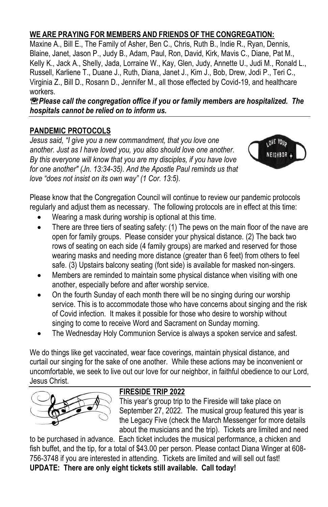#### **WE ARE PRAYING FOR MEMBERS AND FRIENDS OF THE CONGREGATION:**

Maxine A., Bill E., The Family of Asher, Ben C., Chris, Ruth B., Indie R., Ryan, Dennis, Blaine, Janet, Jason P., Judy B., Adam, Paul, Ron, David, Kirk, Mavis C., Diane, Pat M., Kelly K., Jack A., Shelly, Jada, Lorraine W., Kay, Glen, Judy, Annette U., Judi M., Ronald L., Russell, Karliene T., Duane J., Ruth, Diana, Janet J., Kim J., Bob, Drew, Jodi P., Teri C., Virginia Z., Bill D., Rosann D., Jennifer M., all those effected by Covid-19, and healthcare workers.

*Please call the congregation office if you or family members are hospitalized. The hospitals cannot be relied on to inform us.* 

## **PANDEMIC PROTOCOLS**

*Jesus said, "I give you a new commandment, that you love one another. Just as I have loved you, you also should love one another. By this everyone will know that you are my disciples, if you have love for one another" (Jn. 13:34-35). And the Apostle Paul reminds us that love "does not insist on its own way" (1 Cor. 13:5).*



Please know that the Congregation Council will continue to review our pandemic protocols regularly and adjust them as necessary. The following protocols are in effect at this time:

- Wearing a mask during worship is optional at this time.
- There are three tiers of seating safety: (1) The pews on the main floor of the nave are open for family groups. Please consider your physical distance. (2) The back two rows of seating on each side (4 family groups) are marked and reserved for those wearing masks and needing more distance (greater than 6 feet) from others to feel safe. (3) Upstairs balcony seating (font side) is available for masked non-singers.
- Members are reminded to maintain some physical distance when visiting with one another, especially before and after worship service.
- On the fourth Sunday of each month there will be no singing during our worship service. This is to accommodate those who have concerns about singing and the risk of Covid infection. It makes it possible for those who desire to worship without singing to come to receive Word and Sacrament on Sunday morning.
- The Wednesday Holy Communion Service is always a spoken service and safest.

We do things like get vaccinated, wear face coverings, maintain physical distance, and curtail our singing for the sake of one another. While these actions may be inconvenient or uncomfortable, we seek to live out our love for our neighbor, in faithful obedience to our Lord, Jesus Christ.



#### **FIRESIDE TRIP 2022**

This year's group trip to the Fireside will take place on September 27, 2022. The musical group featured this year is the Legacy Five (check the March Messenger for more details about the musicians and the trip). Tickets are limited and need

to be purchased in advance. Each ticket includes the musical performance, a chicken and fish buffet, and the tip, for a total of \$43.00 per person. Please contact Diana Winger at 608- 756-3748 if you are interested in attending. Tickets are limited and will sell out fast! **UPDATE: There are only eight tickets still available. Call today!**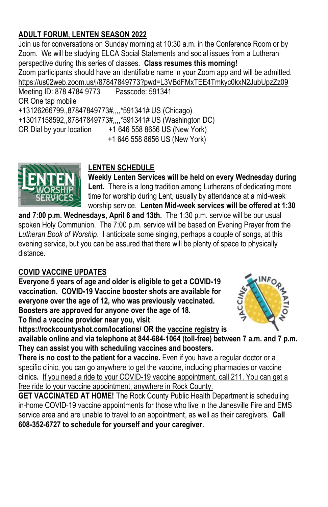## **ADULT FORUM, LENTEN SEASON 2022**

Join us for conversations on Sunday morning at 10:30 a.m. in the Conference Room or by Zoom. We will be studying ELCA Social Statements and social issues from a Lutheran perspective during this series of classes. **Class resumes this morning!** Zoom participants should have an identifiable name in your Zoom app and will be admitted. <https://us02web.zoom.us/j/87847849773?pwd=L3VBdFMxTEE4Tmkyc0kxN2JubUpzZz09> Meeting ID: 878 4784 9773 OR One tap mobile +13126266799,,87847849773#,,,,\*591341# US (Chicago) +13017158592,,87847849773#,,,,\*591341# US (Washington DC) OR Dial by your location  $+16465588656$  US (New York)

+1 646 558 8656 US (New York)



## **LENTEN SCHEDULE**

**Weekly Lenten Services will be held on every Wednesday during Lent.** There is a long tradition among Lutherans of dedicating more time for worship during Lent, usually by attendance at a mid-week worship service. **Lenten Mid-week services will be offered at 1:30** 

**and 7:00 p.m. Wednesdays, April 6 and 13th.** The 1:30 p.m. service will be our usual spoken Holy Communion. The 7:00 p.m. service will be based on Evening Prayer from the *Lutheran Book of Worship*. I anticipate some singing, perhaps a couple of songs, at this evening service, but you can be assured that there will be plenty of space to physically distance.

## **COVID VACCINE UPDATES**

**Everyone 5 years of age and older is eligible to get a COVID-19 vaccination. COVID-19 Vaccine booster shots are available for everyone over the age of 12, who was previously vaccinated. Boosters are approved for anyone over the age of 18. To find a vaccine provider near you, visit** 



**https://rockcountyshot.com/locations/ OR th[e vaccine registry](https://vaccinate.wi.gov/en-US/covid-19%20vaccine/) is** 

**available online and via telephone at 844-684-1064 (toll-free) between 7 a.m. and 7 p.m. They can assist you with scheduling vaccines and boosters.**

**There is no cost to the patient for a vaccine.** Even if you have a regular doctor or a specific clinic, you can go anywhere to get the vaccine, including pharmacies or vaccine clinics**.** If you need a ride to your COVID-19 vaccine appointment, call 211. You can get a free ride to your vaccine appointment, anywhere in Rock County.

**GET VACCINATED AT HOME!** The Rock County Public Health Department is scheduling in-home COVID-19 vaccine appointments for those who live in the Janesville Fire and EMS service area and are unable to travel to an appointment, as well as their caregivers. **Call 608-352-6727 to schedule for yourself and your caregiver.**